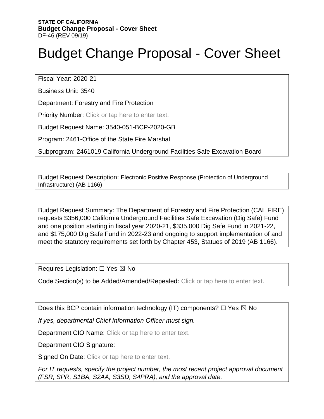# Budget Change Proposal - Cover Sheet

Fiscal Year: 2020-21

Business Unit: 3540

Department: Forestry and Fire Protection

Priority Number: Click or tap here to enter text.

Budget Request Name: 3540-051-BCP-2020-GB

Program: 2461-Office of the State Fire Marshal

Subprogram: 2461019 California Underground Facilities Safe Excavation Board

Budget Request Description: Electronic Positive Response (Protection of Underground Infrastructure) (AB 1166)

Budget Request Summary: The Department of Forestry and Fire Protection (CAL FIRE) requests \$356,000 California Underground Facilities Safe Excavation (Dig Safe) Fund and one position starting in fiscal year 2020-21, \$335,000 Dig Safe Fund in 2021-22, and \$175,000 Dig Safe Fund in 2022-23 and ongoing to support implementation of and meet the statutory requirements set forth by Chapter 453, Statues of 2019 (AB 1166).

Requires Legislation: □ Yes ⊠ No

Code Section(s) to be Added/Amended/Repealed: Click or tap here to enter text.

Does this BCP contain information technology (IT) components?  $\Box$  Yes  $\boxtimes$  No

*If yes, departmental Chief Information Officer must sign.* 

Department CIO Name: Click or tap here to enter text.

Department CIO Signature:

Signed On Date: Click or tap here to enter text.

*For IT requests, specify the project number, the most recent project approval document (FSR, SPR, S1BA, S2AA, S3SD, S4PRA), and the approval date.*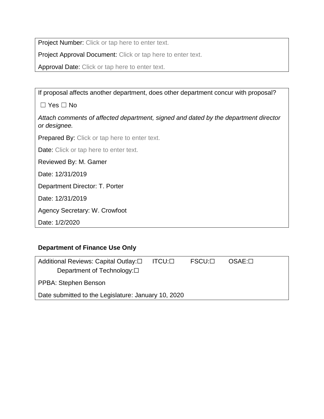Project Number: Click or tap here to enter text.

Project Approval Document: Click or tap here to enter text.

Approval Date: Click or tap here to enter text.

If proposal affects another department, does other department concur with proposal?

☐ Yes ☐ No

*Attach comments of affected department, signed and dated by the department director or designee.* 

Prepared By: Click or tap here to enter text.

Date: Click or tap here to enter text.

Reviewed By: M. Gamer

Date: 12/31/2019

Department Director: T. Porter

Date: 12/31/2019

Agency Secretary: W. Crowfoot

Date: 1/2/2020

#### **Department of Finance Use Only**

| Additional Reviews: Capital Outlay:□                | ITCU:⊡ | $FSCU: \Box$ | $OSAE: \Box$ |  |  |  |  |
|-----------------------------------------------------|--------|--------------|--------------|--|--|--|--|
| Department of Technology: $\square$                 |        |              |              |  |  |  |  |
| PPBA: Stephen Benson                                |        |              |              |  |  |  |  |
| Date submitted to the Legislature: January 10, 2020 |        |              |              |  |  |  |  |
|                                                     |        |              |              |  |  |  |  |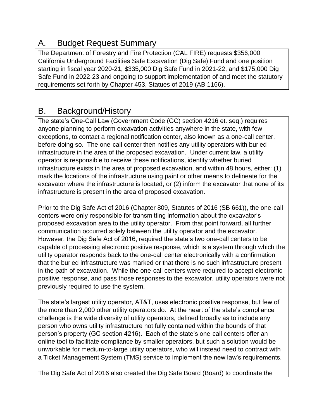# A. Budget Request Summary

The Department of Forestry and Fire Protection (CAL FIRE) requests \$356,000 California Underground Facilities Safe Excavation (Dig Safe) Fund and one position starting in fiscal year 2020-21, \$335,000 Dig Safe Fund in 2021-22, and \$175,000 Dig Safe Fund in 2022-23 and ongoing to support implementation of and meet the statutory requirements set forth by Chapter 453, Statues of 2019 (AB 1166).

# B. Background/History

The state's One-Call Law (Government Code (GC) section 4216 et. seq.) requires anyone planning to perform excavation activities anywhere in the state, with few exceptions, to contact a regional notification center, also known as a one-call center, before doing so. The one-call center then notifies any utility operators with buried infrastructure in the area of the proposed excavation. Under current law, a utility operator is responsible to receive these notifications, identify whether buried infrastructure exists in the area of proposed excavation, and within 48 hours, either: (1) mark the locations of the infrastructure using paint or other means to delineate for the excavator where the infrastructure is located, or (2) inform the excavator that none of its infrastructure is present in the area of proposed excavation.

Prior to the Dig Safe Act of 2016 (Chapter 809, Statutes of 2016 (SB 661)), the one-call centers were only responsible for transmitting information about the excavator's proposed excavation area to the utility operator. From that point forward, all further communication occurred solely between the utility operator and the excavator. However, the Dig Safe Act of 2016, required the state's two one-call centers to be capable of processing electronic positive response, which is a system through which the utility operator responds back to the one-call center electronically with a confirmation that the buried infrastructure was marked or that there is no such infrastructure present in the path of excavation. While the one-call centers were required to accept electronic positive response, and pass those responses to the excavator, utility operators were not previously required to use the system.

The state's largest utility operator, AT&T, uses electronic positive response, but few of the more than 2,000 other utility operators do. At the heart of the state's compliance challenge is the wide diversity of utility operators, defined broadly as to include any person who owns utility infrastructure not fully contained within the bounds of that person's property (GC section 4216). Each of the state's one-call centers offer an online tool to facilitate compliance by smaller operators, but such a solution would be unworkable for medium-to-large utility operators, who will instead need to contract with a Ticket Management System (TMS) service to implement the new law's requirements.

The Dig Safe Act of 2016 also created the Dig Safe Board (Board) to coordinate the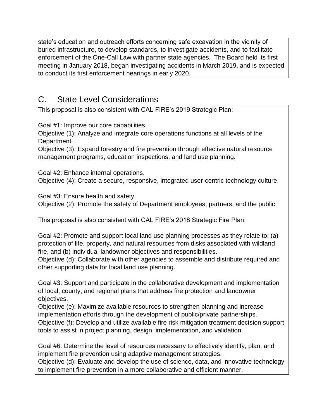state's education and outreach efforts concerning safe excavation in the vicinity of buried infrastructure, to develop standards, to investigate accidents, and to facilitate enforcement of the One-Call Law with partner state agencies. The Board held its first meeting in January 2018, began investigating accidents in March 2019, and is expected to conduct its first enforcement hearings in early 2020.

## C. State Level Considerations

This proposal is also consistent with CAL FIRE's 2019 Strategic Plan:

Goal #1: Improve our core capabilities.

Objective (1): Analyze and integrate core operations functions at all levels of the Department.

Objective (3): Expand forestry and fire prevention through effective natural resource management programs, education inspections, and land use planning.

Goal #2: Enhance internal operations. Objective (4): Create a secure, responsive, integrated user-centric technology culture.

Goal #3: Ensure health and safety.

Objective (2): Promote the safety of Department employees, partners, and the public.

This proposal is also consistent with CAL FIRE's 2018 Strategic Fire Plan:

Goal #2: Promote and support local land use planning processes as they relate to: (a) protection of life, property, and natural resources from disks associated with wildland fire, and (b) individual landowner objectives and responsibilities.

Objective (d): Collaborate with other agencies to assemble and distribute required and other supporting data for local land use planning.

Goal #3: Support and participate in the collaborative development and implementation of local, county, and regional plans that address fire protection and landowner objectives.

Objective (e): Maximize available resources to strengthen planning and increase implementation efforts through the development of public/private partnerships.

Objective (f): Develop and utilize available fire risk mitigation treatment decision support tools to assist in project planning, design, implementation, and validation.

Goal #6: Determine the level of resources necessary to effectively identify, plan, and implement fire prevention using adaptive management strategies.

Objective (d): Evaluate and develop the use of science, data, and innovative technology to implement fire prevention in a more collaborative and efficient manner.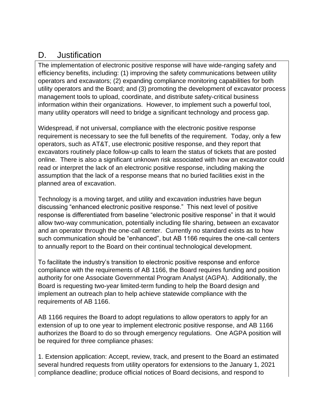#### D. Justification

The implementation of electronic positive response will have wide-ranging safety and efficiency benefits, including: (1) improving the safety communications between utility operators and excavators; (2) expanding compliance monitoring capabilities for both utility operators and the Board; and (3) promoting the development of excavator process management tools to upload, coordinate, and distribute safety-critical business information within their organizations. However, to implement such a powerful tool, many utility operators will need to bridge a significant technology and process gap.

Widespread, if not universal, compliance with the electronic positive response requirement is necessary to see the full benefits of the requirement. Today, only a few operators, such as AT&T, use electronic positive response, and they report that excavators routinely place follow-up calls to learn the status of tickets that are posted online. There is also a significant unknown risk associated with how an excavator could read or interpret the lack of an electronic positive response, including making the assumption that the lack of a response means that no buried facilities exist in the planned area of excavation.

Technology is a moving target, and utility and excavation industries have begun discussing "enhanced electronic positive response." This next level of positive response is differentiated from baseline "electronic positive response" in that it would allow two-way communication, potentially including file sharing, between an excavator and an operator through the one-call center. Currently no standard exists as to how such communication should be "enhanced", but AB 1166 requires the one-call centers to annually report to the Board on their continual technological development.

To facilitate the industry's transition to electronic positive response and enforce compliance with the requirements of AB 1166, the Board requires funding and position authority for one Associate Governmental Program Analyst (AGPA). Additionally, the Board is requesting two-year limited-term funding to help the Board design and implement an outreach plan to help achieve statewide compliance with the requirements of AB 1166.

AB 1166 requires the Board to adopt regulations to allow operators to apply for an extension of up to one year to implement electronic positive response, and AB 1166 authorizes the Board to do so through emergency regulations. One AGPA position will be required for three compliance phases:

1. Extension application: Accept, review, track, and present to the Board an estimated several hundred requests from utility operators for extensions to the January 1, 2021 compliance deadline; produce official notices of Board decisions, and respond to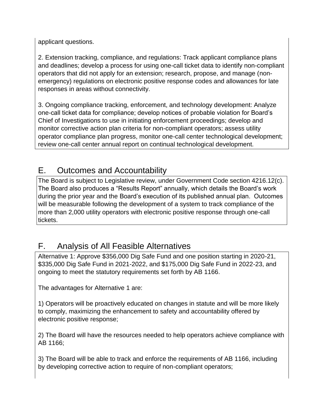applicant questions.

2. Extension tracking, compliance, and regulations: Track applicant compliance plans and deadlines; develop a process for using one-call ticket data to identify non-compliant operators that did not apply for an extension; research, propose, and manage (nonemergency) regulations on electronic positive response codes and allowances for late responses in areas without connectivity.

3. Ongoing compliance tracking, enforcement, and technology development: Analyze one-call ticket data for compliance; develop notices of probable violation for Board's Chief of Investigations to use in initiating enforcement proceedings; develop and monitor corrective action plan criteria for non-compliant operators; assess utility operator compliance plan progress, monitor one-call center technological development; review one-call center annual report on continual technological development.

### E. Outcomes and Accountability

The Board is subject to Legislative review, under Government Code section 4216.12(c). The Board also produces a "Results Report" annually, which details the Board's work during the prior year and the Board's execution of its published annual plan. Outcomes will be measurable following the development of a system to track compliance of the more than 2,000 utility operators with electronic positive response through one-call tickets.

#### F. Analysis of All Feasible Alternatives

Alternative 1: Approve \$356,000 Dig Safe Fund and one position starting in 2020-21, \$335,000 Dig Safe Fund in 2021-2022, and \$175,000 Dig Safe Fund in 2022-23, and ongoing to meet the statutory requirements set forth by AB 1166.

The advantages for Alternative 1 are:

1) Operators will be proactively educated on changes in statute and will be more likely to comply, maximizing the enhancement to safety and accountability offered by electronic positive response;

2) The Board will have the resources needed to help operators achieve compliance with AB 1166;

3) The Board will be able to track and enforce the requirements of AB 1166, including by developing corrective action to require of non-compliant operators;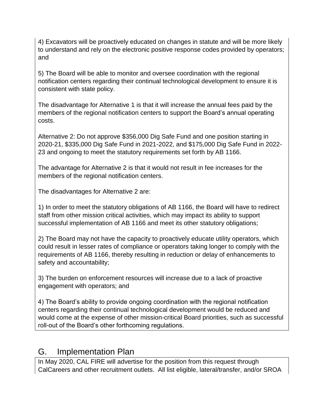4) Excavators will be proactively educated on changes in statute and will be more likely to understand and rely on the electronic positive response codes provided by operators; and

5) The Board will be able to monitor and oversee coordination with the regional notification centers regarding their continual technological development to ensure it is consistent with state policy.

The disadvantage for Alternative 1 is that it will increase the annual fees paid by the members of the regional notification centers to support the Board's annual operating costs.

Alternative 2: Do not approve \$356,000 Dig Safe Fund and one position starting in 2020-21, \$335,000 Dig Safe Fund in 2021-2022, and \$175,000 Dig Safe Fund in 2022- 23 and ongoing to meet the statutory requirements set forth by AB 1166.

The advantage for Alternative 2 is that it would not result in fee increases for the members of the regional notification centers.

The disadvantages for Alternative 2 are:

1) In order to meet the statutory obligations of AB 1166, the Board will have to redirect staff from other mission critical activities, which may impact its ability to support successful implementation of AB 1166 and meet its other statutory obligations;

2) The Board may not have the capacity to proactively educate utility operators, which could result in lesser rates of compliance or operators taking longer to comply with the requirements of AB 1166, thereby resulting in reduction or delay of enhancements to safety and accountability;

3) The burden on enforcement resources will increase due to a lack of proactive engagement with operators; and

4) The Board's ability to provide ongoing coordination with the regional notification centers regarding their continual technological development would be reduced and would come at the expense of other mission-critical Board priorities, such as successful roll-out of the Board's other forthcoming regulations.

#### G. Implementation Plan

In May 2020, CAL FIRE will advertise for the position from this request through CalCareers and other recruitment outlets. All list eligible, lateral/transfer, and/or SROA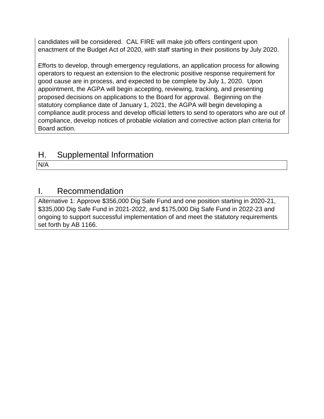candidates will be considered. CAL FIRE will make job offers contingent upon enactment of the Budget Act of 2020, with staff starting in their positions by July 2020.

Efforts to develop, through emergency regulations, an application process for allowing operators to request an extension to the electronic positive response requirement for good cause are in process, and expected to be complete by July 1, 2020. Upon appointment, the AGPA will begin accepting, reviewing, tracking, and presenting proposed decisions on applications to the Board for approval. Beginning on the statutory compliance date of January 1, 2021, the AGPA will begin developing a compliance audit process and develop official letters to send to operators who are out of compliance, develop notices of probable violation and corrective action plan criteria for Board action.

## H. Supplemental Information

N/A

#### I. Recommendation

Alternative 1: Approve \$356,000 Dig Safe Fund and one position starting in 2020-21, \$335,000 Dig Safe Fund in 2021-2022, and \$175,000 Dig Safe Fund in 2022-23 and ongoing to support successful implementation of and meet the statutory requirements set forth by AB 1166.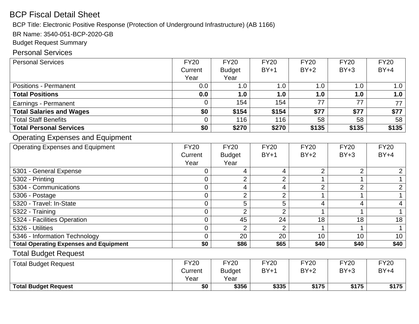## BCP Fiscal Detail Sheet

BCP Title: Electronic Positive Response (Protection of Underground Infrastructure) (AB 1166)

BR Name: 3540-051-BCP-2020-GB

Budget Request Summary

#### Personal Services

| <b>Personal Services</b>                      | <b>FY20</b>     | <b>FY20</b>             | <b>FY20</b>    | <b>FY20</b>    | <b>FY20</b>    | <b>FY20</b>    |
|-----------------------------------------------|-----------------|-------------------------|----------------|----------------|----------------|----------------|
|                                               | Current         | <b>Budget</b>           | $BY+1$         | $BY+2$         | $BY+3$         | $BY+4$         |
|                                               | Year            | Year                    |                |                |                |                |
| <b>Positions - Permanent</b>                  | 0.0             | 1.0                     | 1.0            | 1.0            | 1.0            | 1.0            |
| <b>Total Positions</b>                        | 0.0             | 1.0                     | 1.0            | 1.0            | 1.0            | 1.0            |
| Earnings - Permanent                          | 0               | 154                     | 154            | 77             | 77             | 77             |
| <b>Total Salaries and Wages</b>               | \$0             | \$154                   | \$154          | \$77           | \$77           | \$77           |
| <b>Total Staff Benefits</b>                   | 0               | 116                     | 116            | 58             | 58             | 58             |
| <b>Total Personal Services</b>                | \$0             | \$270                   | \$270          | \$135          | \$135          | \$135          |
| <b>Operating Expenses and Equipment</b>       |                 |                         |                |                |                |                |
| <b>Operating Expenses and Equipment</b>       | <b>FY20</b>     | <b>FY20</b>             | <b>FY20</b>    | <b>FY20</b>    | <b>FY20</b>    | <b>FY20</b>    |
|                                               | Current         | <b>Budget</b>           | $BY+1$         | $BY+2$         | $BY+3$         | $BY+4$         |
|                                               | Year            | Year                    |                |                |                |                |
| 5301 - General Expense                        | 0               | 4                       | 4              | $\overline{2}$ | $\overline{2}$ | $\overline{2}$ |
| 5302 - Printing                               | 0               | $\overline{2}$          | $\overline{2}$ | 1              | 1              |                |
| 5304 - Communications                         | 0               | $\overline{\mathbf{4}}$ | 4              | $\overline{2}$ | $\overline{2}$ | $\overline{2}$ |
| 5306 - Postage                                | $\overline{0}$  | $\overline{2}$          | $\overline{2}$ | 1              |                | $\mathbf{1}$   |
| 5320 - Travel: In-State                       | 0               | 5                       | 5              | 4              | 4              | 4              |
| 5322 - Training                               | 0               | $\overline{2}$          | $\overline{2}$ | 1              |                | 1              |
| 5324 - Facilities Operation                   | $\overline{0}$  | 45                      | 24             | 18             | 18             | 18             |
| 5326 - Utilities                              | $\overline{0}$  | $\overline{2}$          | $\overline{2}$ | 1              |                |                |
| 5346 - Information Technology                 | $\overline{0}$  | 20                      | 20             | 10             | 10             | 10             |
| <b>Total Operating Expenses and Equipment</b> | $\overline{50}$ | \$86                    | \$65           | \$40           | \$40           | \$40           |
| <b>Total Budget Request</b>                   |                 |                         |                |                |                |                |
| <b>Total Budget Request</b>                   | <b>FY20</b>     | <b>FY20</b>             | <b>FY20</b>    | <b>FY20</b>    | <b>FY20</b>    | <b>FY20</b>    |
|                                               | Current         | <b>Budget</b>           | $BY+1$         | $BY+2$         | $BY+3$         | $BY+4$         |
|                                               | Year            | Year                    |                |                |                |                |
| <b>Total Budget Request</b>                   | $\overline{50}$ | \$356                   | \$335          | \$175          | \$175          | \$175          |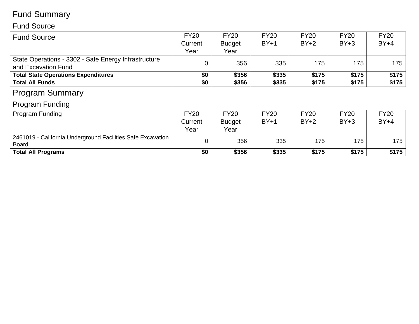# Fund Summary

#### Fund Source

| <b>Fund Source</b>                                   | <b>FY20</b> | <b>FY20</b>   | <b>FY20</b> | <b>FY20</b> | <b>FY20</b> | <b>FY20</b> |
|------------------------------------------------------|-------------|---------------|-------------|-------------|-------------|-------------|
|                                                      | Current     | <b>Budget</b> | $BY+1$      | $BY+2$      | $BY+3$      | $BY+4$      |
|                                                      | Year        | Year          |             |             |             |             |
| State Operations - 3302 - Safe Energy Infrastructure |             | 356           | 335         | 175         | 175         | $175 \mid$  |
| and Excavation Fund                                  |             |               |             |             |             |             |
| <b>Total State Operations Expenditures</b>           | \$0         | \$356         | \$335       | \$175       | \$175       | \$175       |
| <b>Total All Funds</b>                               | \$0         | \$356         | \$335       | \$175       | \$175       | \$175       |
| Drogram Summary                                      |             |               |             |             |             |             |

#### Program Summary

# Program Funding

| Program Funding                                             | <b>FY20</b> | <b>FY20</b>   | <b>FY20</b> | <b>FY20</b> | <b>FY20</b> | <b>FY20</b> |
|-------------------------------------------------------------|-------------|---------------|-------------|-------------|-------------|-------------|
|                                                             | Current     | <b>Budget</b> | $BY+1$      | $BY+2$      | $BY+3$      | $BY+4$      |
|                                                             | Year        | Year          |             |             |             |             |
| 2461019 - California Underground Facilities Safe Excavation |             | 356           | 335         | 175         | 175         | 175         |
| Board                                                       |             |               |             |             |             |             |
| <b>Total All Programs</b>                                   | \$0         | \$356         | \$335       | \$175       | \$175       | \$175       |